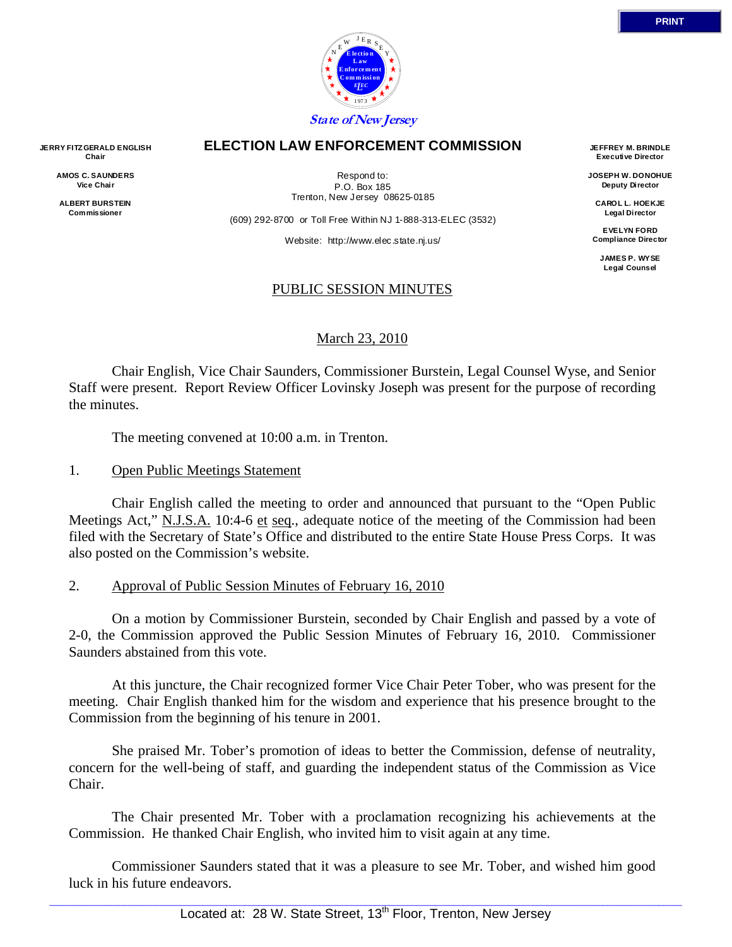

### **ELECTION LAW ENFORCEMENT COMMISSION**

**AMOS C. SAUNDERS Vice Chair** 

**JERRY FITZ GERALD ENGLISH Chair** 

> **ALBERT BURSTEIN Commissioner**

Respond to: P.O. Box 185 Trenton, New Jersey 08625-0185

(609) 292-8700 or Toll Free Within NJ 1-888-313-ELEC (3532)

Website: http://www.elec.state.nj.us/

# PUBLIC SESSION MINUTES

### March 23, 2010

 Chair English, Vice Chair Saunders, Commissioner Burstein, Legal Counsel Wyse, and Senior Staff were present. Report Review Officer Lovinsky Joseph was present for the purpose of recording the minutes.

The meeting convened at 10:00 a.m. in Trenton.

## 1. Open Public Meetings Statement

 Chair English called the meeting to order and announced that pursuant to the "Open Public Meetings Act," N.J.S.A. 10:4-6 et seq., adequate notice of the meeting of the Commission had been filed with the Secretary of State's Office and distributed to the entire State House Press Corps. It was also posted on the Commission's website.

# 2. Approval of Public Session Minutes of February 16, 2010

 On a motion by Commissioner Burstein, seconded by Chair English and passed by a vote of 2-0, the Commission approved the Public Session Minutes of February 16, 2010. Commissioner Saunders abstained from this vote.

 At this juncture, the Chair recognized former Vice Chair Peter Tober, who was present for the meeting. Chair English thanked him for the wisdom and experience that his presence brought to the Commission from the beginning of his tenure in 2001.

 She praised Mr. Tober's promotion of ideas to better the Commission, defense of neutrality, concern for the well-being of staff, and guarding the independent status of the Commission as Vice Chair.

 The Chair presented Mr. Tober with a proclamation recognizing his achievements at the Commission. He thanked Chair English, who invited him to visit again at any time.

 Commissioner Saunders stated that it was a pleasure to see Mr. Tober, and wished him good luck in his future endeavors.

 $\Box$  . The contribution of the contribution of the contribution of the contribution of the contribution of the contribution of the contribution of the contribution of the contribution of the contribution of the contributi Located at: 28 W. State Street, 13<sup>th</sup> Floor, Trenton, New Jersey

**JEFFREY M. BRINDLE Executive Director** 

**JOSEPH W. DONOHUE Deputy Director** 

**CAROL L. HOEKJE Legal Director** 

**EVELYN FORD Compliance Director** 

> **JAMES P. WYSE Legal Counsel**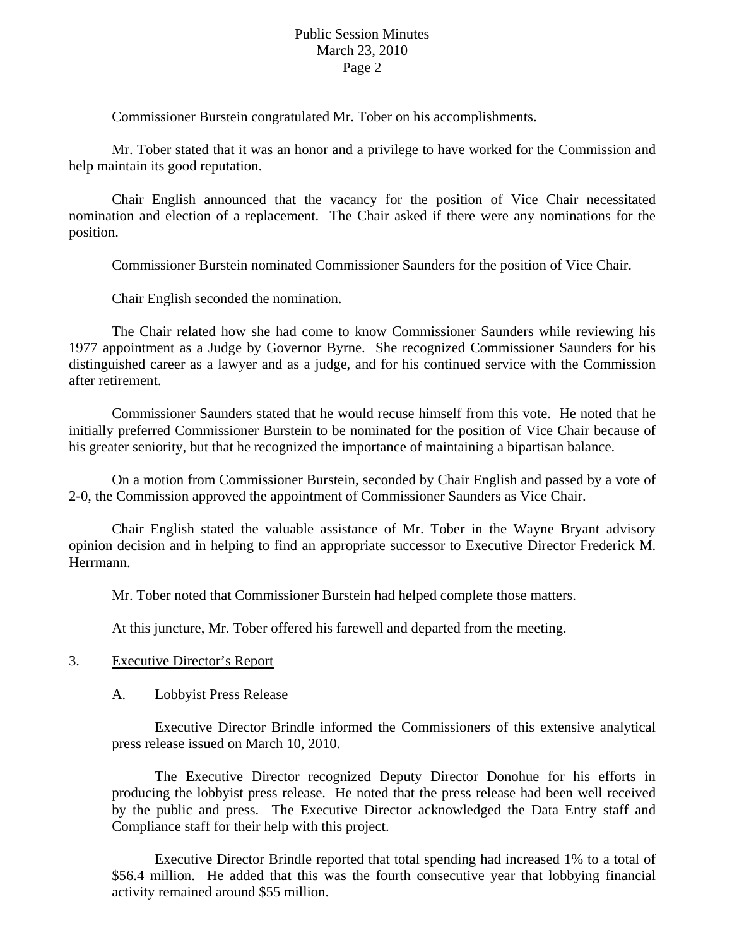Commissioner Burstein congratulated Mr. Tober on his accomplishments.

 Mr. Tober stated that it was an honor and a privilege to have worked for the Commission and help maintain its good reputation.

 Chair English announced that the vacancy for the position of Vice Chair necessitated nomination and election of a replacement. The Chair asked if there were any nominations for the position.

Commissioner Burstein nominated Commissioner Saunders for the position of Vice Chair.

Chair English seconded the nomination.

 The Chair related how she had come to know Commissioner Saunders while reviewing his 1977 appointment as a Judge by Governor Byrne. She recognized Commissioner Saunders for his distinguished career as a lawyer and as a judge, and for his continued service with the Commission after retirement.

 Commissioner Saunders stated that he would recuse himself from this vote. He noted that he initially preferred Commissioner Burstein to be nominated for the position of Vice Chair because of his greater seniority, but that he recognized the importance of maintaining a bipartisan balance.

 On a motion from Commissioner Burstein, seconded by Chair English and passed by a vote of 2-0, the Commission approved the appointment of Commissioner Saunders as Vice Chair.

 Chair English stated the valuable assistance of Mr. Tober in the Wayne Bryant advisory opinion decision and in helping to find an appropriate successor to Executive Director Frederick M. Herrmann.

Mr. Tober noted that Commissioner Burstein had helped complete those matters.

At this juncture, Mr. Tober offered his farewell and departed from the meeting.

### 3. Executive Director's Report

### A. Lobbyist Press Release

 Executive Director Brindle informed the Commissioners of this extensive analytical press release issued on March 10, 2010.

 The Executive Director recognized Deputy Director Donohue for his efforts in producing the lobbyist press release. He noted that the press release had been well received by the public and press. The Executive Director acknowledged the Data Entry staff and Compliance staff for their help with this project.

 Executive Director Brindle reported that total spending had increased 1% to a total of \$56.4 million. He added that this was the fourth consecutive year that lobbying financial activity remained around \$55 million.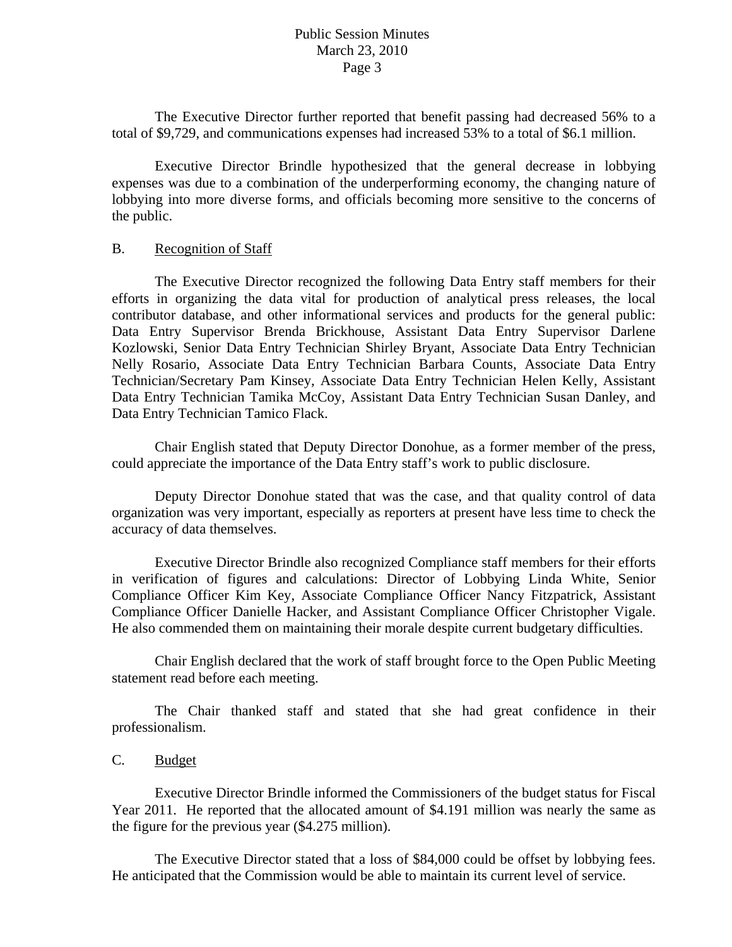The Executive Director further reported that benefit passing had decreased 56% to a total of \$9,729, and communications expenses had increased 53% to a total of \$6.1 million.

 Executive Director Brindle hypothesized that the general decrease in lobbying expenses was due to a combination of the underperforming economy, the changing nature of lobbying into more diverse forms, and officials becoming more sensitive to the concerns of the public.

#### B. Recognition of Staff

 The Executive Director recognized the following Data Entry staff members for their efforts in organizing the data vital for production of analytical press releases, the local contributor database, and other informational services and products for the general public: Data Entry Supervisor Brenda Brickhouse, Assistant Data Entry Supervisor Darlene Kozlowski, Senior Data Entry Technician Shirley Bryant, Associate Data Entry Technician Nelly Rosario, Associate Data Entry Technician Barbara Counts, Associate Data Entry Technician/Secretary Pam Kinsey, Associate Data Entry Technician Helen Kelly, Assistant Data Entry Technician Tamika McCoy, Assistant Data Entry Technician Susan Danley, and Data Entry Technician Tamico Flack.

 Chair English stated that Deputy Director Donohue, as a former member of the press, could appreciate the importance of the Data Entry staff's work to public disclosure.

 Deputy Director Donohue stated that was the case, and that quality control of data organization was very important, especially as reporters at present have less time to check the accuracy of data themselves.

 Executive Director Brindle also recognized Compliance staff members for their efforts in verification of figures and calculations: Director of Lobbying Linda White, Senior Compliance Officer Kim Key, Associate Compliance Officer Nancy Fitzpatrick, Assistant Compliance Officer Danielle Hacker, and Assistant Compliance Officer Christopher Vigale. He also commended them on maintaining their morale despite current budgetary difficulties.

 Chair English declared that the work of staff brought force to the Open Public Meeting statement read before each meeting.

 The Chair thanked staff and stated that she had great confidence in their professionalism.

# C. Budget

 Executive Director Brindle informed the Commissioners of the budget status for Fiscal Year 2011. He reported that the allocated amount of \$4.191 million was nearly the same as the figure for the previous year (\$4.275 million).

 The Executive Director stated that a loss of \$84,000 could be offset by lobbying fees. He anticipated that the Commission would be able to maintain its current level of service.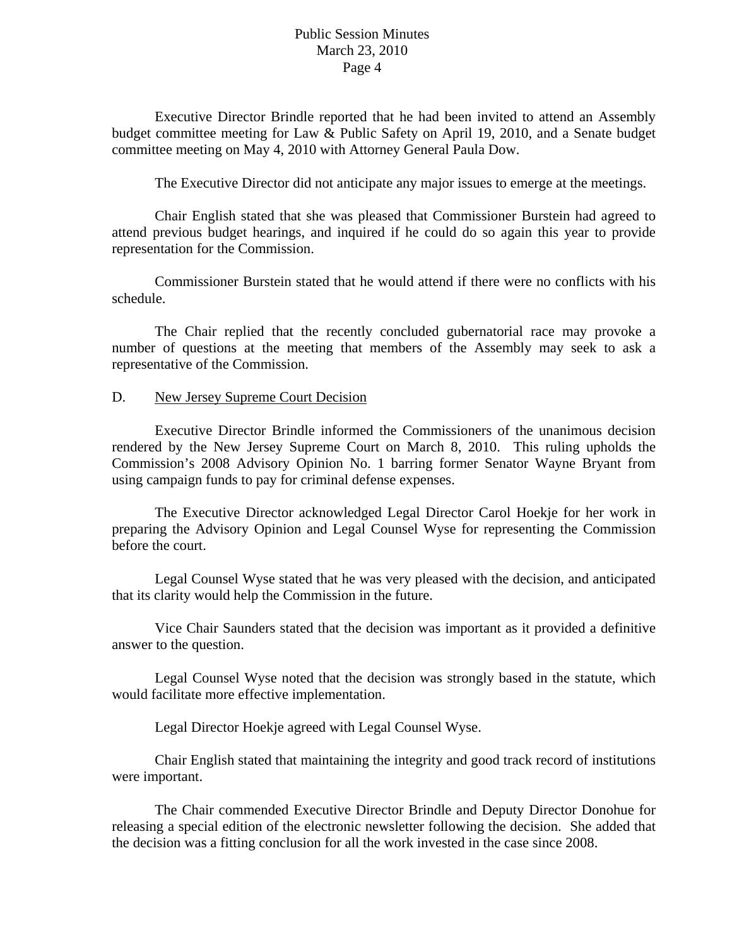Executive Director Brindle reported that he had been invited to attend an Assembly budget committee meeting for Law & Public Safety on April 19, 2010, and a Senate budget committee meeting on May 4, 2010 with Attorney General Paula Dow.

The Executive Director did not anticipate any major issues to emerge at the meetings.

 Chair English stated that she was pleased that Commissioner Burstein had agreed to attend previous budget hearings, and inquired if he could do so again this year to provide representation for the Commission.

 Commissioner Burstein stated that he would attend if there were no conflicts with his schedule.

 The Chair replied that the recently concluded gubernatorial race may provoke a number of questions at the meeting that members of the Assembly may seek to ask a representative of the Commission.

#### D. New Jersey Supreme Court Decision

 Executive Director Brindle informed the Commissioners of the unanimous decision rendered by the New Jersey Supreme Court on March 8, 2010. This ruling upholds the Commission's 2008 Advisory Opinion No. 1 barring former Senator Wayne Bryant from using campaign funds to pay for criminal defense expenses.

 The Executive Director acknowledged Legal Director Carol Hoekje for her work in preparing the Advisory Opinion and Legal Counsel Wyse for representing the Commission before the court.

 Legal Counsel Wyse stated that he was very pleased with the decision, and anticipated that its clarity would help the Commission in the future.

 Vice Chair Saunders stated that the decision was important as it provided a definitive answer to the question.

 Legal Counsel Wyse noted that the decision was strongly based in the statute, which would facilitate more effective implementation.

Legal Director Hoekje agreed with Legal Counsel Wyse.

 Chair English stated that maintaining the integrity and good track record of institutions were important.

 The Chair commended Executive Director Brindle and Deputy Director Donohue for releasing a special edition of the electronic newsletter following the decision. She added that the decision was a fitting conclusion for all the work invested in the case since 2008.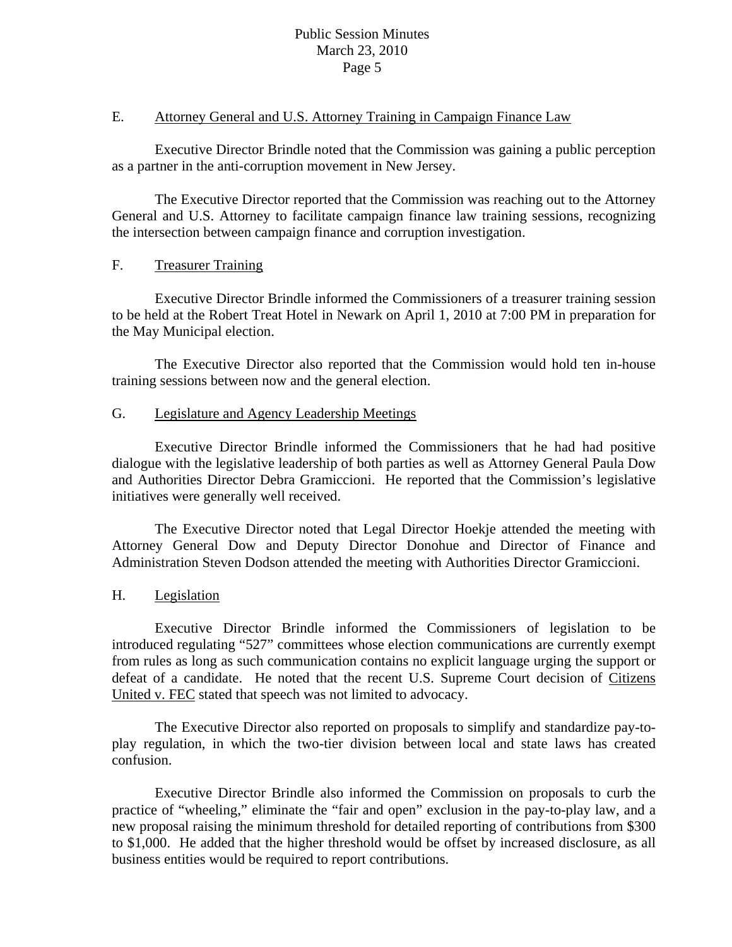## E. Attorney General and U.S. Attorney Training in Campaign Finance Law

 Executive Director Brindle noted that the Commission was gaining a public perception as a partner in the anti-corruption movement in New Jersey.

 The Executive Director reported that the Commission was reaching out to the Attorney General and U.S. Attorney to facilitate campaign finance law training sessions, recognizing the intersection between campaign finance and corruption investigation.

# F. Treasurer Training

 Executive Director Brindle informed the Commissioners of a treasurer training session to be held at the Robert Treat Hotel in Newark on April 1, 2010 at 7:00 PM in preparation for the May Municipal election.

 The Executive Director also reported that the Commission would hold ten in-house training sessions between now and the general election.

# G. Legislature and Agency Leadership Meetings

 Executive Director Brindle informed the Commissioners that he had had positive dialogue with the legislative leadership of both parties as well as Attorney General Paula Dow and Authorities Director Debra Gramiccioni. He reported that the Commission's legislative initiatives were generally well received.

 The Executive Director noted that Legal Director Hoekje attended the meeting with Attorney General Dow and Deputy Director Donohue and Director of Finance and Administration Steven Dodson attended the meeting with Authorities Director Gramiccioni.

# H. Legislation

 Executive Director Brindle informed the Commissioners of legislation to be introduced regulating "527" committees whose election communications are currently exempt from rules as long as such communication contains no explicit language urging the support or defeat of a candidate. He noted that the recent U.S. Supreme Court decision of Citizens United v. FEC stated that speech was not limited to advocacy.

 The Executive Director also reported on proposals to simplify and standardize pay-toplay regulation, in which the two-tier division between local and state laws has created confusion.

 Executive Director Brindle also informed the Commission on proposals to curb the practice of "wheeling," eliminate the "fair and open" exclusion in the pay-to-play law, and a new proposal raising the minimum threshold for detailed reporting of contributions from \$300 to \$1,000. He added that the higher threshold would be offset by increased disclosure, as all business entities would be required to report contributions.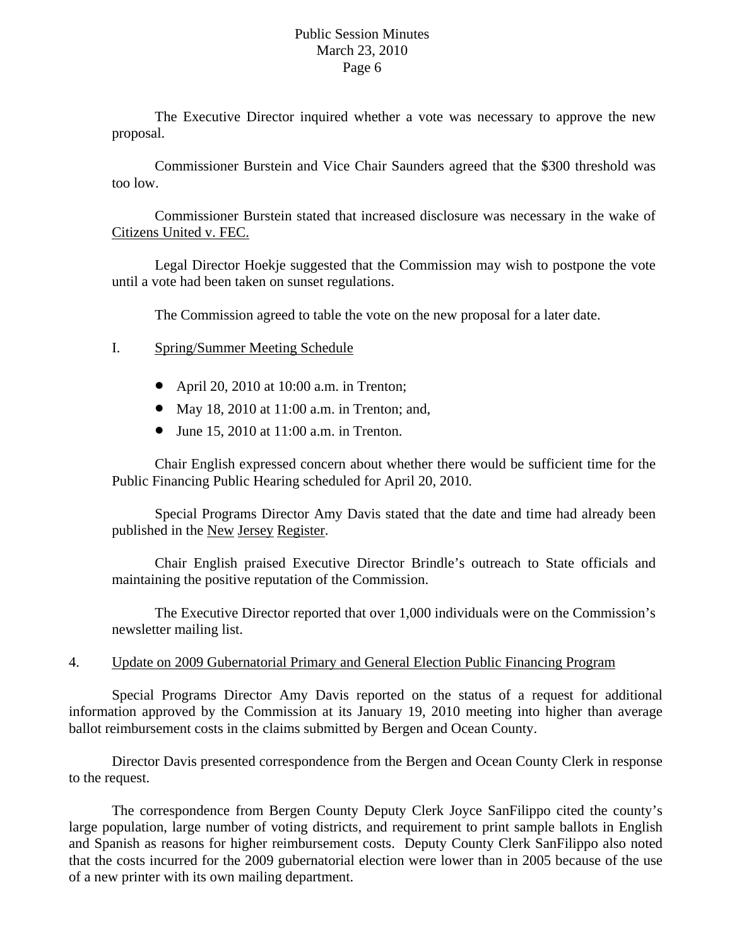The Executive Director inquired whether a vote was necessary to approve the new proposal.

 Commissioner Burstein and Vice Chair Saunders agreed that the \$300 threshold was too low.

 Commissioner Burstein stated that increased disclosure was necessary in the wake of Citizens United v. FEC.

 Legal Director Hoekje suggested that the Commission may wish to postpone the vote until a vote had been taken on sunset regulations.

The Commission agreed to table the vote on the new proposal for a later date.

- I. Spring/Summer Meeting Schedule
	- April 20, 2010 at 10:00 a.m. in Trenton;
	- May 18, 2010 at 11:00 a.m. in Trenton; and,
	- June 15, 2010 at 11:00 a.m. in Trenton.

Chair English expressed concern about whether there would be sufficient time for the Public Financing Public Hearing scheduled for April 20, 2010.

Special Programs Director Amy Davis stated that the date and time had already been published in the New Jersey Register.

Chair English praised Executive Director Brindle's outreach to State officials and maintaining the positive reputation of the Commission.

The Executive Director reported that over 1,000 individuals were on the Commission's newsletter mailing list.

# 4. Update on 2009 Gubernatorial Primary and General Election Public Financing Program

 Special Programs Director Amy Davis reported on the status of a request for additional information approved by the Commission at its January 19, 2010 meeting into higher than average ballot reimbursement costs in the claims submitted by Bergen and Ocean County.

 Director Davis presented correspondence from the Bergen and Ocean County Clerk in response to the request.

 The correspondence from Bergen County Deputy Clerk Joyce SanFilippo cited the county's large population, large number of voting districts, and requirement to print sample ballots in English and Spanish as reasons for higher reimbursement costs. Deputy County Clerk SanFilippo also noted that the costs incurred for the 2009 gubernatorial election were lower than in 2005 because of the use of a new printer with its own mailing department.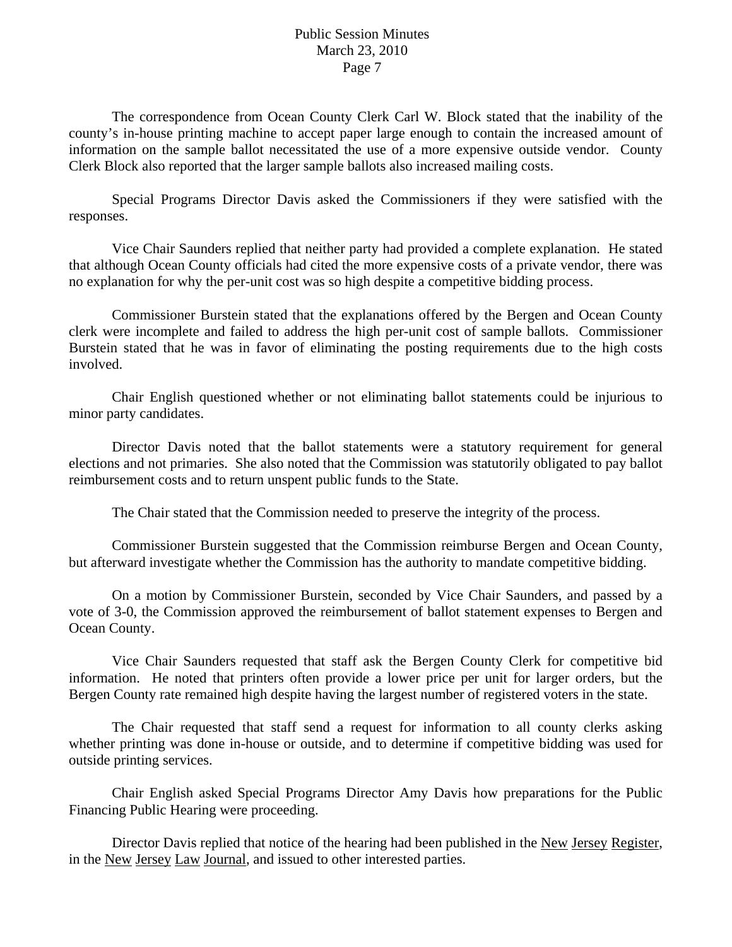The correspondence from Ocean County Clerk Carl W. Block stated that the inability of the county's in-house printing machine to accept paper large enough to contain the increased amount of information on the sample ballot necessitated the use of a more expensive outside vendor. County Clerk Block also reported that the larger sample ballots also increased mailing costs.

 Special Programs Director Davis asked the Commissioners if they were satisfied with the responses.

 Vice Chair Saunders replied that neither party had provided a complete explanation. He stated that although Ocean County officials had cited the more expensive costs of a private vendor, there was no explanation for why the per-unit cost was so high despite a competitive bidding process.

 Commissioner Burstein stated that the explanations offered by the Bergen and Ocean County clerk were incomplete and failed to address the high per-unit cost of sample ballots. Commissioner Burstein stated that he was in favor of eliminating the posting requirements due to the high costs involved.

 Chair English questioned whether or not eliminating ballot statements could be injurious to minor party candidates.

 Director Davis noted that the ballot statements were a statutory requirement for general elections and not primaries. She also noted that the Commission was statutorily obligated to pay ballot reimbursement costs and to return unspent public funds to the State.

The Chair stated that the Commission needed to preserve the integrity of the process.

 Commissioner Burstein suggested that the Commission reimburse Bergen and Ocean County, but afterward investigate whether the Commission has the authority to mandate competitive bidding.

 On a motion by Commissioner Burstein, seconded by Vice Chair Saunders, and passed by a vote of 3-0, the Commission approved the reimbursement of ballot statement expenses to Bergen and Ocean County.

 Vice Chair Saunders requested that staff ask the Bergen County Clerk for competitive bid information. He noted that printers often provide a lower price per unit for larger orders, but the Bergen County rate remained high despite having the largest number of registered voters in the state.

 The Chair requested that staff send a request for information to all county clerks asking whether printing was done in-house or outside, and to determine if competitive bidding was used for outside printing services.

 Chair English asked Special Programs Director Amy Davis how preparations for the Public Financing Public Hearing were proceeding.

 Director Davis replied that notice of the hearing had been published in the New Jersey Register, in the New Jersey Law Journal, and issued to other interested parties.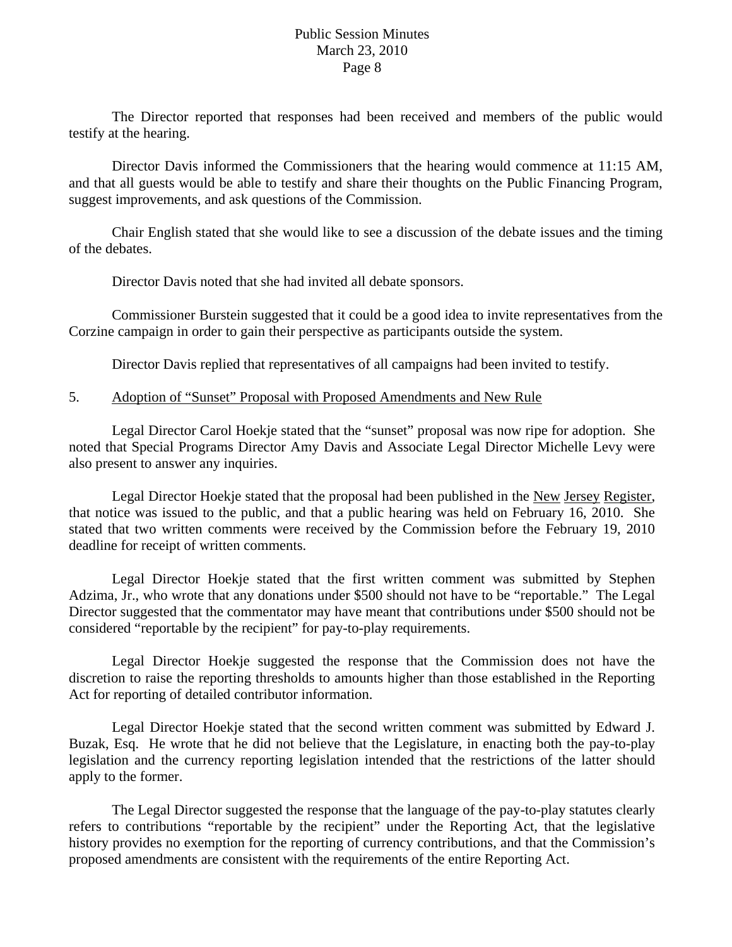The Director reported that responses had been received and members of the public would testify at the hearing.

 Director Davis informed the Commissioners that the hearing would commence at 11:15 AM, and that all guests would be able to testify and share their thoughts on the Public Financing Program, suggest improvements, and ask questions of the Commission.

 Chair English stated that she would like to see a discussion of the debate issues and the timing of the debates.

Director Davis noted that she had invited all debate sponsors.

 Commissioner Burstein suggested that it could be a good idea to invite representatives from the Corzine campaign in order to gain their perspective as participants outside the system.

Director Davis replied that representatives of all campaigns had been invited to testify.

# 5. Adoption of "Sunset" Proposal with Proposed Amendments and New Rule

 Legal Director Carol Hoekje stated that the "sunset" proposal was now ripe for adoption. She noted that Special Programs Director Amy Davis and Associate Legal Director Michelle Levy were also present to answer any inquiries.

 Legal Director Hoekje stated that the proposal had been published in the New Jersey Register, that notice was issued to the public, and that a public hearing was held on February 16, 2010. She stated that two written comments were received by the Commission before the February 19, 2010 deadline for receipt of written comments.

 Legal Director Hoekje stated that the first written comment was submitted by Stephen Adzima, Jr., who wrote that any donations under \$500 should not have to be "reportable." The Legal Director suggested that the commentator may have meant that contributions under \$500 should not be considered "reportable by the recipient" for pay-to-play requirements.

 Legal Director Hoekje suggested the response that the Commission does not have the discretion to raise the reporting thresholds to amounts higher than those established in the Reporting Act for reporting of detailed contributor information.

 Legal Director Hoekje stated that the second written comment was submitted by Edward J. Buzak, Esq. He wrote that he did not believe that the Legislature, in enacting both the pay-to-play legislation and the currency reporting legislation intended that the restrictions of the latter should apply to the former.

 The Legal Director suggested the response that the language of the pay-to-play statutes clearly refers to contributions "reportable by the recipient" under the Reporting Act, that the legislative history provides no exemption for the reporting of currency contributions, and that the Commission's proposed amendments are consistent with the requirements of the entire Reporting Act.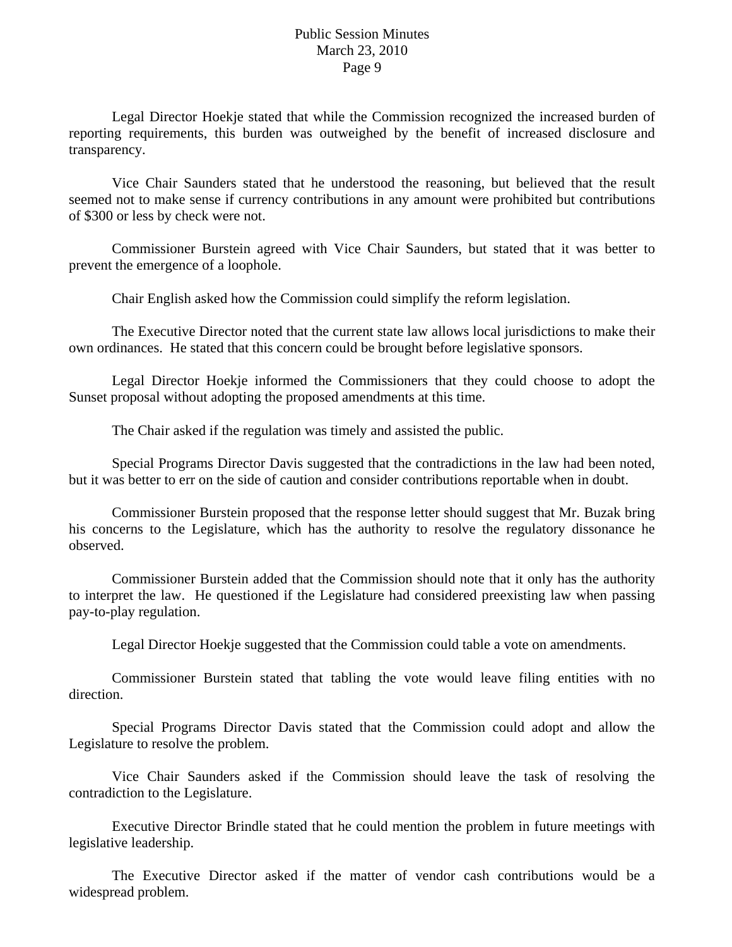Legal Director Hoekje stated that while the Commission recognized the increased burden of reporting requirements, this burden was outweighed by the benefit of increased disclosure and transparency.

 Vice Chair Saunders stated that he understood the reasoning, but believed that the result seemed not to make sense if currency contributions in any amount were prohibited but contributions of \$300 or less by check were not.

 Commissioner Burstein agreed with Vice Chair Saunders, but stated that it was better to prevent the emergence of a loophole.

Chair English asked how the Commission could simplify the reform legislation.

 The Executive Director noted that the current state law allows local jurisdictions to make their own ordinances. He stated that this concern could be brought before legislative sponsors.

 Legal Director Hoekje informed the Commissioners that they could choose to adopt the Sunset proposal without adopting the proposed amendments at this time.

The Chair asked if the regulation was timely and assisted the public.

 Special Programs Director Davis suggested that the contradictions in the law had been noted, but it was better to err on the side of caution and consider contributions reportable when in doubt.

 Commissioner Burstein proposed that the response letter should suggest that Mr. Buzak bring his concerns to the Legislature, which has the authority to resolve the regulatory dissonance he observed.

 Commissioner Burstein added that the Commission should note that it only has the authority to interpret the law. He questioned if the Legislature had considered preexisting law when passing pay-to-play regulation.

Legal Director Hoekje suggested that the Commission could table a vote on amendments.

 Commissioner Burstein stated that tabling the vote would leave filing entities with no direction.

 Special Programs Director Davis stated that the Commission could adopt and allow the Legislature to resolve the problem.

 Vice Chair Saunders asked if the Commission should leave the task of resolving the contradiction to the Legislature.

 Executive Director Brindle stated that he could mention the problem in future meetings with legislative leadership.

 The Executive Director asked if the matter of vendor cash contributions would be a widespread problem.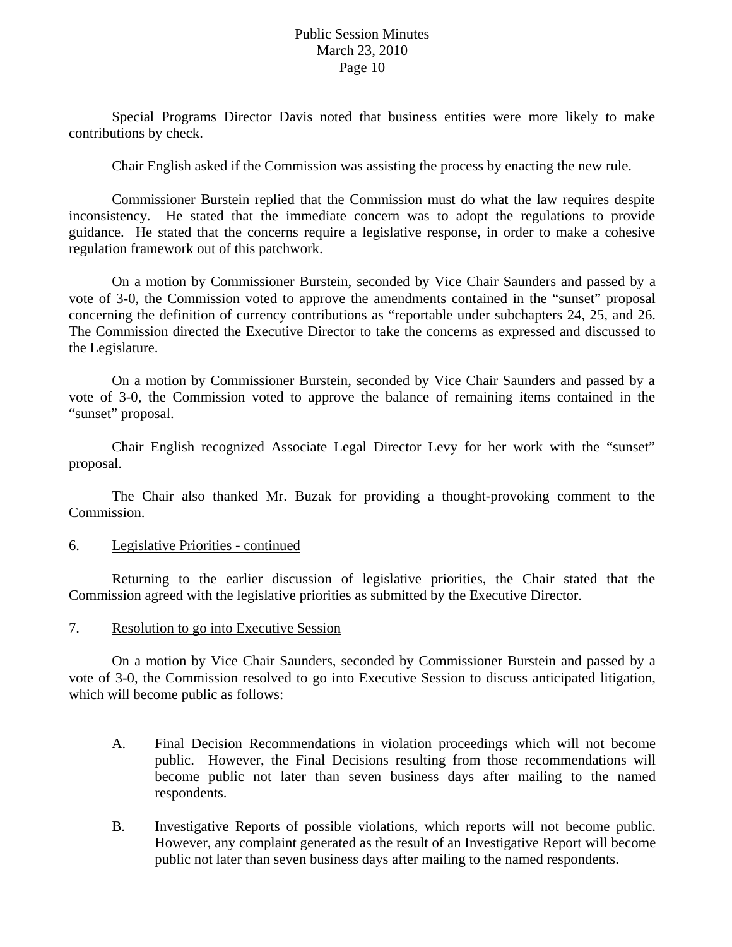Special Programs Director Davis noted that business entities were more likely to make contributions by check.

Chair English asked if the Commission was assisting the process by enacting the new rule.

 Commissioner Burstein replied that the Commission must do what the law requires despite inconsistency. He stated that the immediate concern was to adopt the regulations to provide guidance. He stated that the concerns require a legislative response, in order to make a cohesive regulation framework out of this patchwork.

 On a motion by Commissioner Burstein, seconded by Vice Chair Saunders and passed by a vote of 3-0, the Commission voted to approve the amendments contained in the "sunset" proposal concerning the definition of currency contributions as "reportable under subchapters 24, 25, and 26. The Commission directed the Executive Director to take the concerns as expressed and discussed to the Legislature.

 On a motion by Commissioner Burstein, seconded by Vice Chair Saunders and passed by a vote of 3-0, the Commission voted to approve the balance of remaining items contained in the "sunset" proposal.

 Chair English recognized Associate Legal Director Levy for her work with the "sunset" proposal.

 The Chair also thanked Mr. Buzak for providing a thought-provoking comment to the Commission.

### 6. Legislative Priorities - continued

 Returning to the earlier discussion of legislative priorities, the Chair stated that the Commission agreed with the legislative priorities as submitted by the Executive Director.

#### 7. Resolution to go into Executive Session

 On a motion by Vice Chair Saunders, seconded by Commissioner Burstein and passed by a vote of 3-0, the Commission resolved to go into Executive Session to discuss anticipated litigation, which will become public as follows:

- A. Final Decision Recommendations in violation proceedings which will not become public. However, the Final Decisions resulting from those recommendations will become public not later than seven business days after mailing to the named respondents.
- B. Investigative Reports of possible violations, which reports will not become public. However, any complaint generated as the result of an Investigative Report will become public not later than seven business days after mailing to the named respondents.